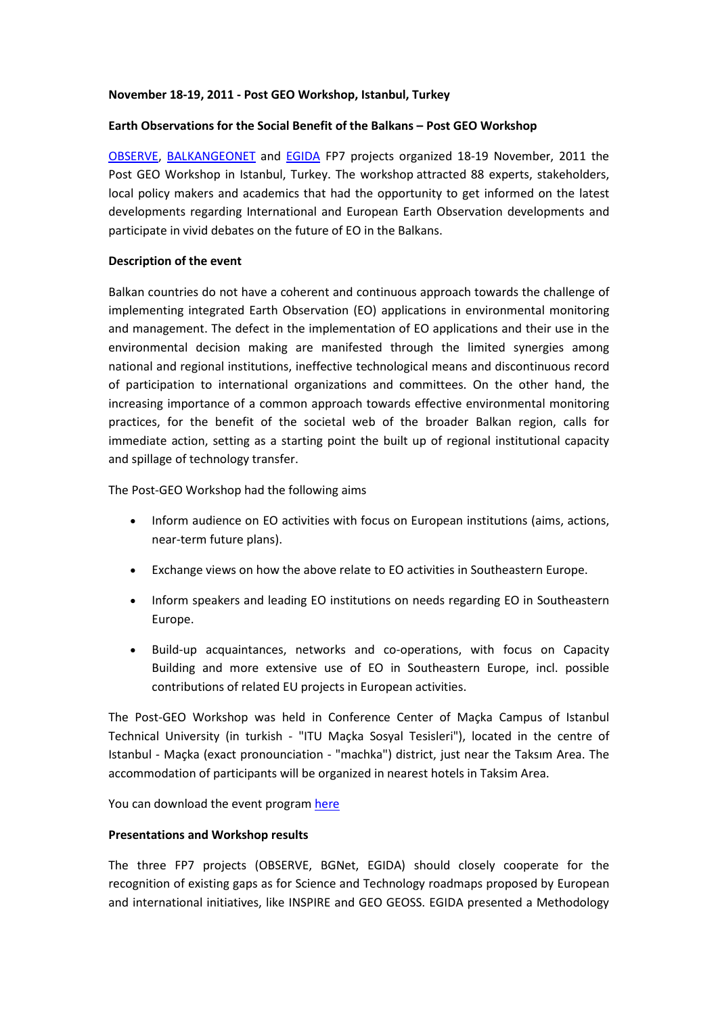## **November 18-19, 2011 - Post GEO Workshop, Istanbul, Turkey**

## **Earth Observations for the Social Benefit of the Balkans – Post GEO Workshop**

[OBSERVE,](http://www.observe-fp7.eu/) [BALKANGEONET](http://www.balkangeo.net/) and [EGIDA](http://www.egida-project.eu/) FP7 projects organized 18-19 November, 2011 the Post GEO Workshop in Istanbul, Turkey. The workshop attracted 88 experts, stakeholders, local policy makers and academics that had the opportunity to get informed on the latest developments regarding International and European Earth Observation developments and participate in vivid debates on the future of EO in the Balkans.

# **Description of the event**

Balkan countries do not have a coherent and continuous approach towards the challenge of implementing integrated Earth Observation (EO) applications in environmental monitoring and management. The defect in the implementation of EO applications and their use in the environmental decision making are manifested through the limited synergies among national and regional institutions, ineffective technological means and discontinuous record of participation to international organizations and committees. On the other hand, the increasing importance of a common approach towards effective environmental monitoring practices, for the benefit of the societal web of the broader Balkan region, calls for immediate action, setting as a starting point the built up of regional institutional capacity and spillage of technology transfer.

The Post-GEO Workshop had the following aims

- Inform audience on EO activities with focus on European institutions (aims, actions, near-term future plans).
- Exchange views on how the above relate to EO activities in Southeastern Europe.
- Inform speakers and leading EO institutions on needs regarding EO in Southeastern Europe.
- Build-up acquaintances, networks and co-operations, with focus on Capacity Building and more extensive use of EO in Southeastern Europe, incl. possible contributions of related EU projects in European activities.

The Post-GEO Workshop was held in Conference Center of Maçka Campus of Istanbul Technical University (in turkish - "ITU Maçka Sosyal Tesisleri"), located in the centre of Istanbul - Maçka (exact pronounciation - "machka") district, just near the Taksım Area. The accommodation of participants will be organized in nearest hotels in Taksim Area.

You can download the event program [here](http://www.observe-fp7.eu/images/stories/postgeoworkshop/post%20geo%20workshop%20agenda.pdf)

#### **Presentations and Workshop results**

The three FP7 projects (OBSERVE, BGNet, EGIDA) should closely cooperate for the recognition of existing gaps as for Science and Technology roadmaps proposed by European and international initiatives, like INSPIRE and GEO GEOSS. EGIDA presented a Methodology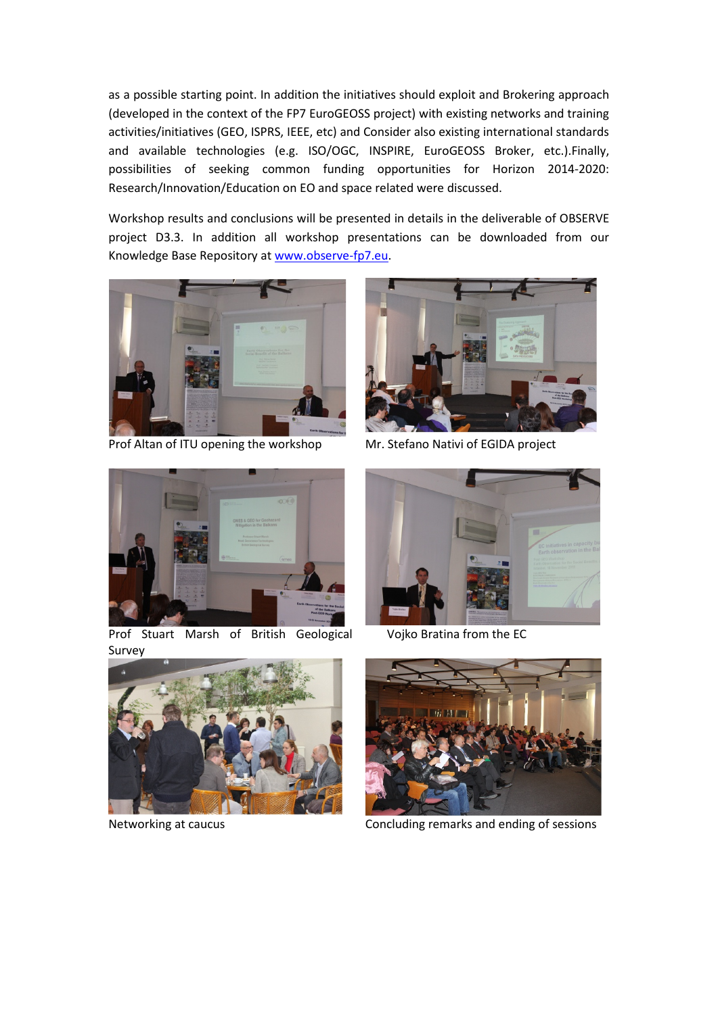as a possible starting point. In addition the initiatives should exploit and Brokering approach (developed in the context of the FP7 EuroGEOSS project) with existing networks and training activities/initiatives (GEO, ISPRS, IEEE, etc) and Consider also existing international standards and available technologies (e.g. ISO/OGC, INSPIRE, EuroGEOSS Broker, etc.).Finally, possibilities of seeking common funding opportunities for Horizon 2014-2020: Research/Innovation/Education on EO and space related were discussed.

Workshop results and conclusions will be presented in details in the deliverable of OBSERVE project D3.3. In addition all workshop presentations can be downloaded from our Knowledge Base Repository a[t www.observe-fp7.eu.](http://www.observe-fp7.eu/)



Prof Altan of ITU opening the workshop Mr. Stefano Nativi of EGIDA project





Prof Stuart Marsh of British Geological Survey



Vojko Bratina from the EC





Networking at caucus Concluding remarks and ending of sessions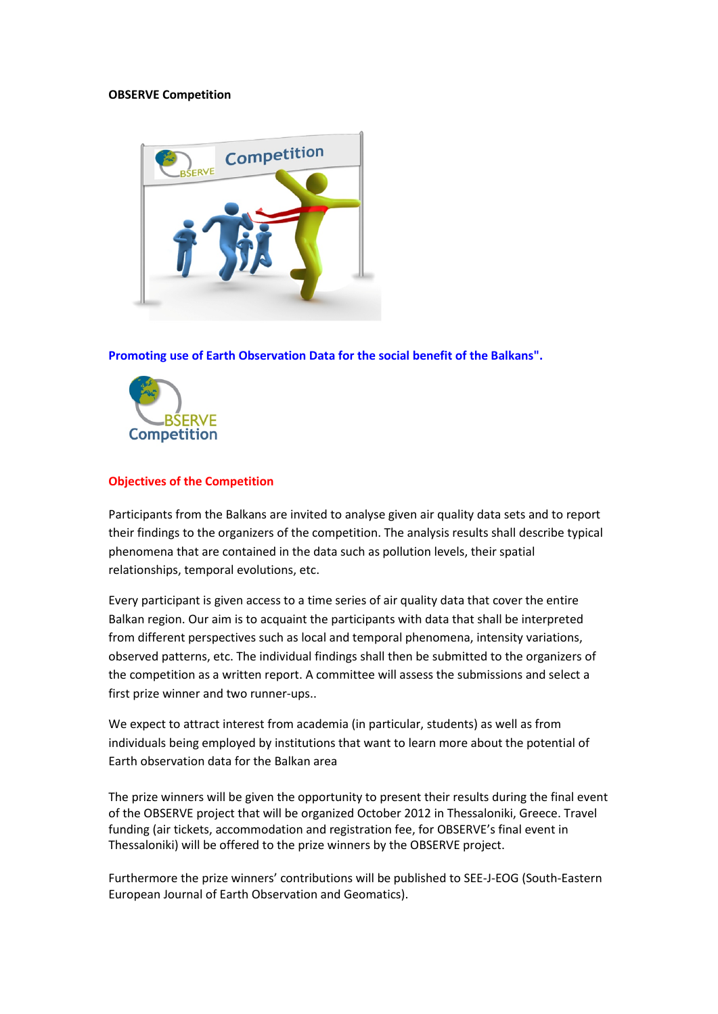## **OBSERVE Competition**



**Promoting use of Earth Observation Data for the social benefit of the Balkans".** 



# **Objectives of the Competition**

Participants from the Balkans are invited to analyse given air quality data sets and to report their findings to the organizers of the competition. The analysis results shall describe typical phenomena that are contained in the data such as pollution levels, their spatial relationships, temporal evolutions, etc.

Every participant is given access to a time series of air quality data that cover the entire Balkan region. Our aim is to acquaint the participants with data that shall be interpreted from different perspectives such as local and temporal phenomena, intensity variations, observed patterns, etc. The individual findings shall then be submitted to the organizers of the competition as a written report. A committee will assess the submissions and select a first prize winner and two runner-ups..

We expect to attract interest from academia (in particular, students) as well as from individuals being employed by institutions that want to learn more about the potential of Earth observation data for the Balkan area

The prize winners will be given the opportunity to present their results during the final event of the OBSERVE project that will be organized October 2012 in Thessaloniki, Greece. Travel funding (air tickets, accommodation and registration fee, for OBSERVE's final event in Thessaloniki) will be offered to the prize winners by the OBSERVE project.

Furthermore the prize winners' contributions will be published to SEE-J-EOG (South-Eastern European Journal of Earth Observation and Geomatics).